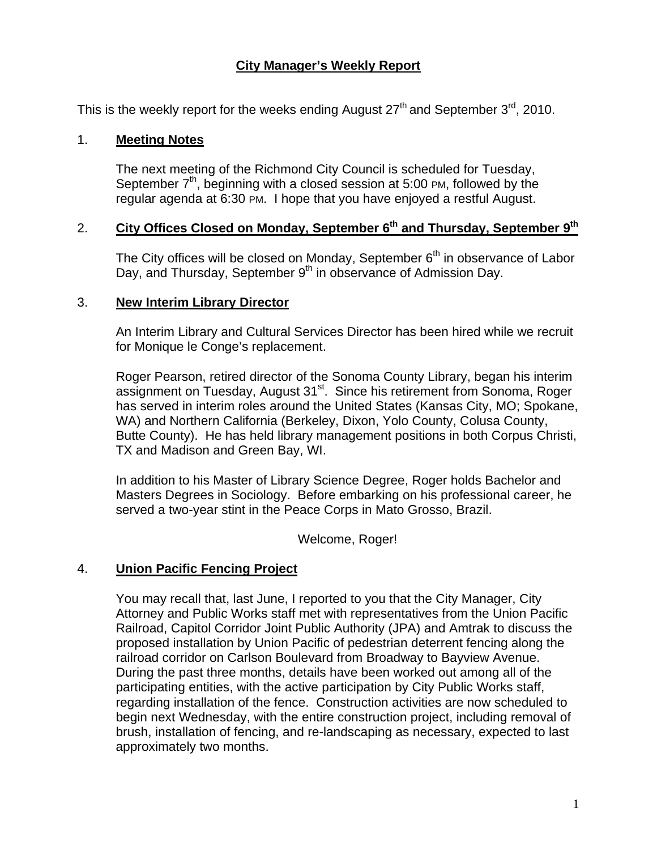# **City Manager's Weekly Report**

This is the weekly report for the weeks ending August  $27<sup>th</sup>$  and September  $3<sup>rd</sup>$ , 2010.

#### 1. **Meeting Notes**

The next meeting of the Richmond City Council is scheduled for Tuesday, September  $7<sup>th</sup>$ , beginning with a closed session at 5:00 PM, followed by the regular agenda at 6:30 PM. I hope that you have enjoyed a restful August.

# 2. **City Offices Closed on Monday, September 6th and Thursday, September 9th**

The City offices will be closed on Monday, September  $6<sup>th</sup>$  in observance of Labor Day, and Thursday, September 9<sup>th</sup> in observance of Admission Day.

#### 3. **New Interim Library Director**

An Interim Library and Cultural Services Director has been hired while we recruit for Monique le Conge's replacement.

Roger Pearson, retired director of the Sonoma County Library, began his interim assignment on Tuesday, August 31<sup>st</sup>. Since his retirement from Sonoma, Roger has served in interim roles around the United States (Kansas City, MO; Spokane, WA) and Northern California (Berkeley, Dixon, Yolo County, Colusa County, Butte County). He has held library management positions in both Corpus Christi, TX and Madison and Green Bay, WI.

In addition to his Master of Library Science Degree, Roger holds Bachelor and Masters Degrees in Sociology. Before embarking on his professional career, he served a two-year stint in the Peace Corps in Mato Grosso, Brazil.

Welcome, Roger!

# 4. **Union Pacific Fencing Project**

You may recall that, last June, I reported to you that the City Manager, City Attorney and Public Works staff met with representatives from the Union Pacific Railroad, Capitol Corridor Joint Public Authority (JPA) and Amtrak to discuss the proposed installation by Union Pacific of pedestrian deterrent fencing along the railroad corridor on Carlson Boulevard from Broadway to Bayview Avenue. During the past three months, details have been worked out among all of the participating entities, with the active participation by City Public Works staff, regarding installation of the fence. Construction activities are now scheduled to begin next Wednesday, with the entire construction project, including removal of brush, installation of fencing, and re-landscaping as necessary, expected to last approximately two months.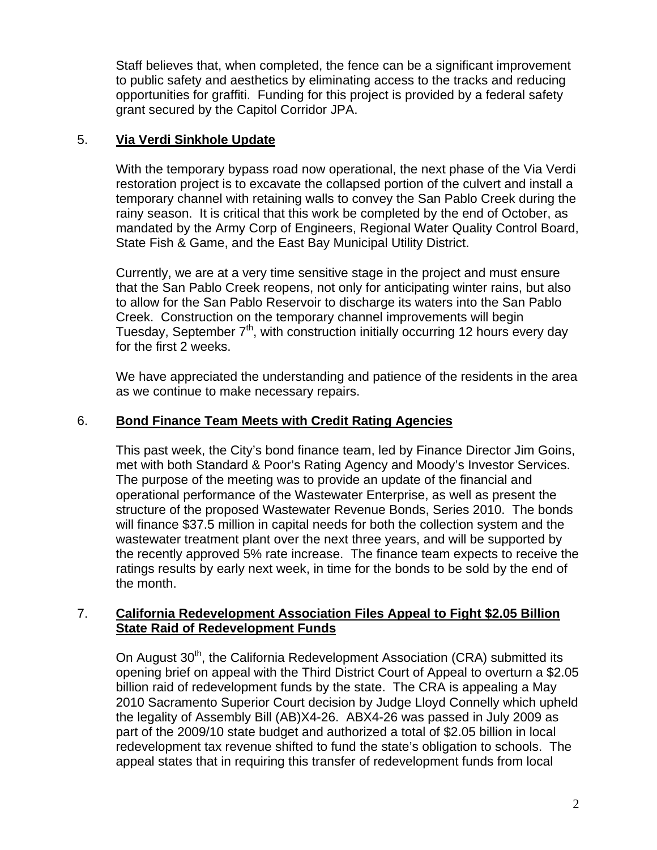Staff believes that, when completed, the fence can be a significant improvement to public safety and aesthetics by eliminating access to the tracks and reducing opportunities for graffiti. Funding for this project is provided by a federal safety grant secured by the Capitol Corridor JPA.

## 5. **Via Verdi Sinkhole Update**

With the temporary bypass road now operational, the next phase of the Via Verdi restoration project is to excavate the collapsed portion of the culvert and install a temporary channel with retaining walls to convey the San Pablo Creek during the rainy season. It is critical that this work be completed by the end of October, as mandated by the Army Corp of Engineers, Regional Water Quality Control Board, State Fish & Game, and the East Bay Municipal Utility District.

Currently, we are at a very time sensitive stage in the project and must ensure that the San Pablo Creek reopens, not only for anticipating winter rains, but also to allow for the San Pablo Reservoir to discharge its waters into the San Pablo Creek. Construction on the temporary channel improvements will begin Tuesday, September  $7<sup>th</sup>$ , with construction initially occurring 12 hours every day for the first 2 weeks.

We have appreciated the understanding and patience of the residents in the area as we continue to make necessary repairs.

## 6. **Bond Finance Team Meets with Credit Rating Agencies**

This past week, the City's bond finance team, led by Finance Director Jim Goins, met with both Standard & Poor's Rating Agency and Moody's Investor Services. The purpose of the meeting was to provide an update of the financial and operational performance of the Wastewater Enterprise, as well as present the structure of the proposed Wastewater Revenue Bonds, Series 2010. The bonds will finance \$37.5 million in capital needs for both the collection system and the wastewater treatment plant over the next three years, and will be supported by the recently approved 5% rate increase. The finance team expects to receive the ratings results by early next week, in time for the bonds to be sold by the end of the month.

### 7. **California Redevelopment Association Files Appeal to Fight \$2.05 Billion State Raid of Redevelopment Funds**

On August 30<sup>th</sup>, the California Redevelopment Association (CRA) submitted its opening brief on appeal with the Third District Court of Appeal to overturn a \$2.05 billion raid of redevelopment funds by the state. The CRA is appealing a May 2010 Sacramento Superior Court decision by Judge Lloyd Connelly which upheld the legality of Assembly Bill (AB)X4-26. ABX4-26 was passed in July 2009 as part of the 2009/10 state budget and authorized a total of \$2.05 billion in local redevelopment tax revenue shifted to fund the state's obligation to schools. The appeal states that in requiring this transfer of redevelopment funds from local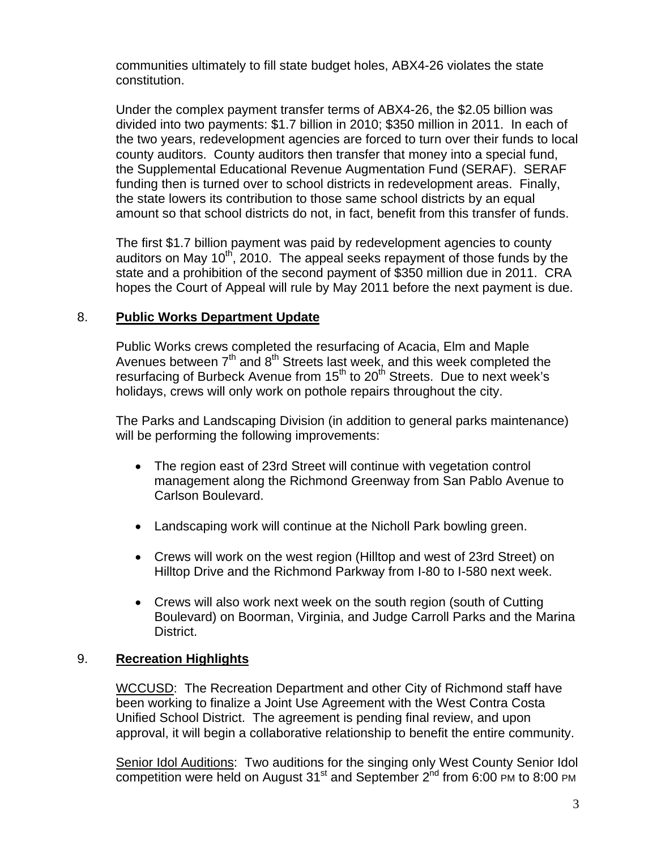communities ultimately to fill state budget holes, ABX4-26 violates the state constitution.

Under the complex payment transfer terms of ABX4-26, the \$2.05 billion was divided into two payments: \$1.7 billion in 2010; \$350 million in 2011. In each of the two years, redevelopment agencies are forced to turn over their funds to local county auditors. County auditors then transfer that money into a special fund, the Supplemental Educational Revenue Augmentation Fund (SERAF). SERAF funding then is turned over to school districts in redevelopment areas. Finally, the state lowers its contribution to those same school districts by an equal amount so that school districts do not, in fact, benefit from this transfer of funds.

The first \$1.7 billion payment was paid by redevelopment agencies to county auditors on May  $10<sup>th</sup>$ , 2010. The appeal seeks repayment of those funds by the state and a prohibition of the second payment of \$350 million due in 2011. CRA hopes the Court of Appeal will rule by May 2011 before the next payment is due.

### 8. **Public Works Department Update**

Public Works crews completed the resurfacing of Acacia, Elm and Maple Avenues between  $7<sup>th</sup>$  and  $8<sup>th</sup>$  Streets last week, and this week completed the resurfacing of Burbeck Avenue from 15<sup>th</sup> to 20<sup>th</sup> Streets. Due to next week's holidays, crews will only work on pothole repairs throughout the city.

The Parks and Landscaping Division (in addition to general parks maintenance) will be performing the following improvements:

- The region east of 23rd Street will continue with vegetation control management along the Richmond Greenway from San Pablo Avenue to Carlson Boulevard.
- Landscaping work will continue at the Nicholl Park bowling green.
- Crews will work on the west region (Hilltop and west of 23rd Street) on Hilltop Drive and the Richmond Parkway from I-80 to I-580 next week.
- Crews will also work next week on the south region (south of Cutting Boulevard) on Boorman, Virginia, and Judge Carroll Parks and the Marina District.

# 9. **Recreation Highlights**

WCCUSD: The Recreation Department and other City of Richmond staff have been working to finalize a Joint Use Agreement with the West Contra Costa Unified School District. The agreement is pending final review, and upon approval, it will begin a collaborative relationship to benefit the entire community.

Senior Idol Auditions: Two auditions for the singing only West County Senior Idol competition were held on August  $31<sup>st</sup>$  and September  $2<sup>nd</sup>$  from 6:00 PM to 8:00 PM